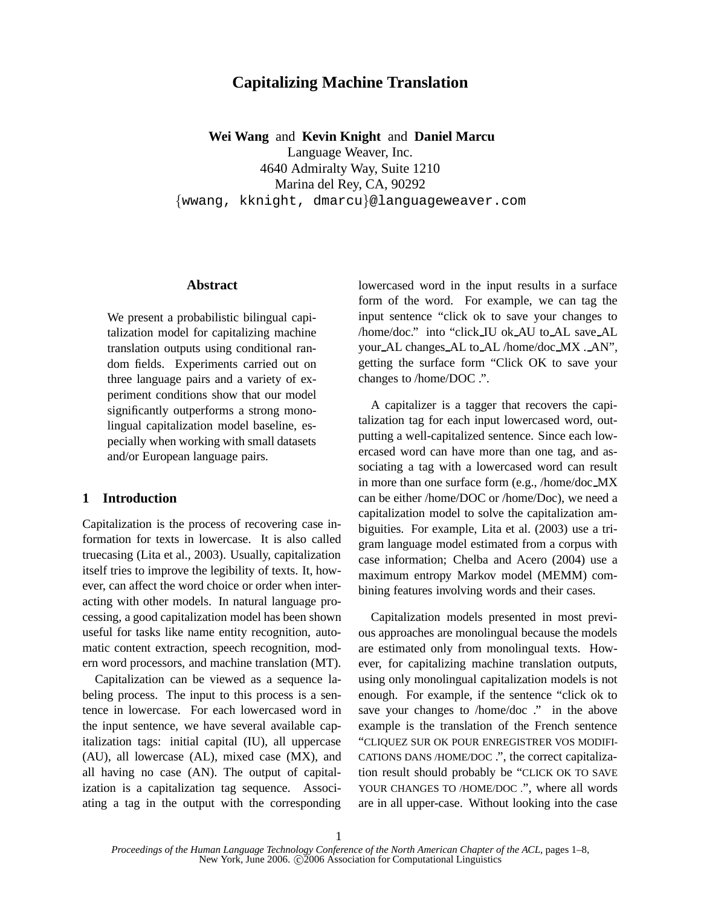# **Capitalizing Machine Translation**

**Wei Wang** and **Kevin Knight** and **Daniel Marcu**

Language Weaver, Inc. 4640 Admiralty Way, Suite 1210

Marina del Rey, CA, 90292

{wwang, kknight, dmarcu}@languageweaver.com

## **Abstract**

We present a probabilistic bilingual capitalization model for capitalizing machine translation outputs using conditional random fields. Experiments carried out on three language pairs and a variety of experiment conditions show that our model significantly outperforms a strong monolingual capitalization model baseline, especially when working with small datasets and/or European language pairs.

## **1 Introduction**

Capitalization is the process of recovering case information for texts in lowercase. It is also called truecasing (Lita et al., 2003). Usually, capitalization itself tries to improve the legibility of texts. It, however, can affect the word choice or order when interacting with other models. In natural language processing, a good capitalization model has been shown useful for tasks like name entity recognition, automatic content extraction, speech recognition, modern word processors, and machine translation (MT).

Capitalization can be viewed as a sequence labeling process. The input to this process is a sentence in lowercase. For each lowercased word in the input sentence, we have several available capitalization tags: initial capital (IU), all uppercase (AU), all lowercase (AL), mixed case (MX), and all having no case (AN). The output of capitalization is a capitalization tag sequence. Associating a tag in the output with the corresponding

lowercased word in the input results in a surface form of the word. For example, we can tag the input sentence "click ok to save your changes to /home/doc." into "click IU ok AU to AL save AL your AL changes AL to AL /home/doc MX . AN", getting the surface form "Click OK to save your changes to /home/DOC .".

A capitalizer is a tagger that recovers the capitalization tag for each input lowercased word, outputting a well-capitalized sentence. Since each lowercased word can have more than one tag, and associating a tag with a lowercased word can result in more than one surface form (e.g., /home/doc MX can be either /home/DOC or /home/Doc), we need a capitalization model to solve the capitalization ambiguities. For example, Lita et al. (2003) use a trigram language model estimated from a corpus with case information; Chelba and Acero (2004) use a maximum entropy Markov model (MEMM) combining features involving words and their cases.

Capitalization models presented in most previous approaches are monolingual because the models are estimated only from monolingual texts. However, for capitalizing machine translation outputs, using only monolingual capitalization models is not enough. For example, if the sentence "click ok to save your changes to /home/doc ." in the above example is the translation of the French sentence "CLIQUEZ SUR OK POUR ENREGISTRER VOS MODIFI-CATIONS DANS /HOME/DOC .", the correct capitalization result should probably be "CLICK OK TO SAVE YOUR CHANGES TO /HOME/DOC .", where all words are in all upper-case. Without looking into the case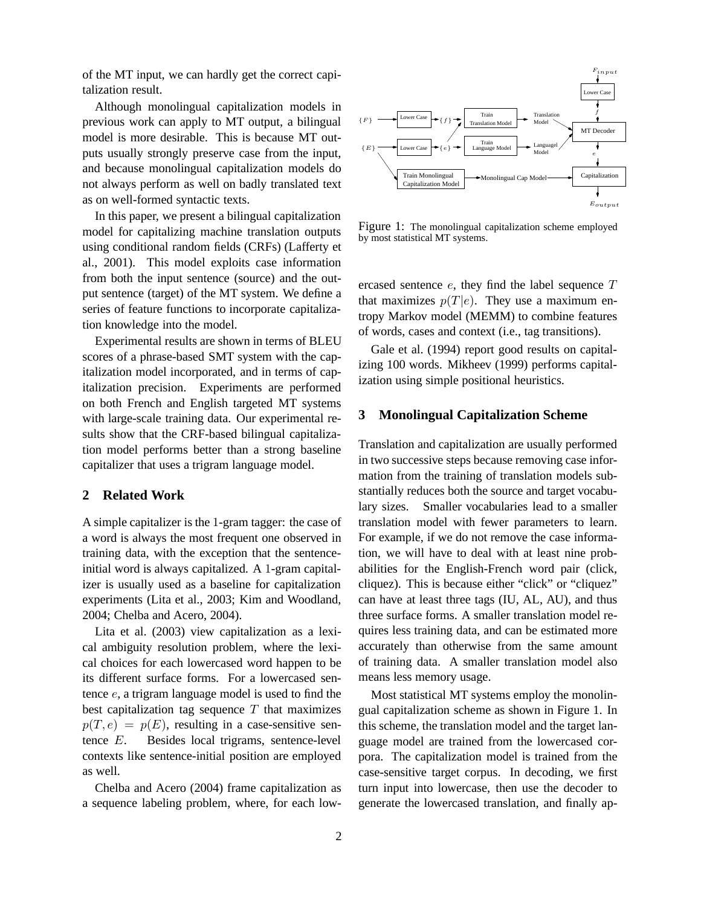of the MT input, we can hardly get the correct capitalization result.

Although monolingual capitalization models in previous work can apply to MT output, a bilingual model is more desirable. This is because MT outputs usually strongly preserve case from the input, and because monolingual capitalization models do not always perform as well on badly translated text as on well-formed syntactic texts.

In this paper, we present a bilingual capitalization model for capitalizing machine translation outputs using conditional random fields (CRFs) (Lafferty et al., 2001). This model exploits case information from both the input sentence (source) and the output sentence (target) of the MT system. We define a series of feature functions to incorporate capitalization knowledge into the model.

Experimental results are shown in terms of BLEU scores of a phrase-based SMT system with the capitalization model incorporated, and in terms of capitalization precision. Experiments are performed on both French and English targeted MT systems with large-scale training data. Our experimental results show that the CRF-based bilingual capitalization model performs better than a strong baseline capitalizer that uses a trigram language model.

#### **2 Related Work**

A simple capitalizer is the 1-gram tagger: the case of a word is always the most frequent one observed in training data, with the exception that the sentenceinitial word is always capitalized. A 1-gram capitalizer is usually used as a baseline for capitalization experiments (Lita et al., 2003; Kim and Woodland, 2004; Chelba and Acero, 2004).

Lita et al. (2003) view capitalization as a lexical ambiguity resolution problem, where the lexical choices for each lowercased word happen to be its different surface forms. For a lowercased sentence e, a trigram language model is used to find the best capitalization tag sequence  $T$  that maximizes  $p(T, e) = p(E)$ , resulting in a case-sensitive sentence E. Besides local trigrams, sentence-level contexts like sentence-initial position are employed as well.

Chelba and Acero (2004) frame capitalization as a sequence labeling problem, where, for each low-



Figure 1: The monolingual capitalization scheme employed by most statistical MT systems.

ercased sentence  $e$ , they find the label sequence  $T$ that maximizes  $p(T|e)$ . They use a maximum entropy Markov model (MEMM) to combine features of words, cases and context (i.e., tag transitions).

Gale et al. (1994) report good results on capitalizing 100 words. Mikheev (1999) performs capitalization using simple positional heuristics.

## **3 Monolingual Capitalization Scheme**

Translation and capitalization are usually performed in two successive steps because removing case information from the training of translation models substantially reduces both the source and target vocabulary sizes. Smaller vocabularies lead to a smaller translation model with fewer parameters to learn. For example, if we do not remove the case information, we will have to deal with at least nine probabilities for the English-French word pair (click, cliquez). This is because either "click" or "cliquez" can have at least three tags (IU, AL, AU), and thus three surface forms. A smaller translation model requires less training data, and can be estimated more accurately than otherwise from the same amount of training data. A smaller translation model also means less memory usage.

Most statistical MT systems employ the monolingual capitalization scheme as shown in Figure 1. In this scheme, the translation model and the target language model are trained from the lowercased corpora. The capitalization model is trained from the case-sensitive target corpus. In decoding, we first turn input into lowercase, then use the decoder to generate the lowercased translation, and finally ap-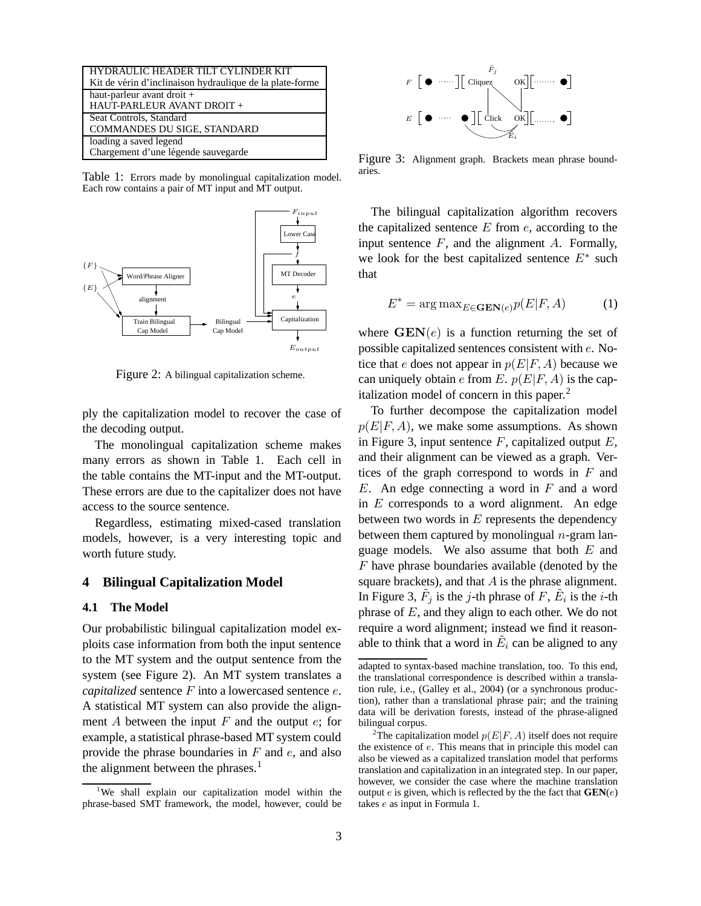| HYDRAULIC HEADER TILT CYLINDER KIT<br>Kit de vérin d'inclinaison hydraulique de la plate-forme |
|------------------------------------------------------------------------------------------------|
| haut-parleur avant droit +                                                                     |
| HAUT-PARLEUR AVANT DROIT +                                                                     |
| Seat Controls, Standard                                                                        |
| COMMANDES DU SIGE, STANDARD                                                                    |
| loading a saved legend                                                                         |
| Chargement d'une légende sauvegarde                                                            |

Table 1: Errors made by monolingual capitalization model. Each row contains a pair of MT input and MT output.



Figure 2: A bilingual capitalization scheme.

ply the capitalization model to recover the case of the decoding output.

The monolingual capitalization scheme makes many errors as shown in Table 1. Each cell in the table contains the MT-input and the MT-output. These errors are due to the capitalizer does not have access to the source sentence.

Regardless, estimating mixed-cased translation models, however, is a very interesting topic and worth future study.

## **4 Bilingual Capitalization Model**

#### **4.1 The Model**

Our probabilistic bilingual capitalization model exploits case information from both the input sentence to the MT system and the output sentence from the system (see Figure 2). An MT system translates a *capitalized* sentence F into a lowercased sentence e. A statistical MT system can also provide the alignment A between the input  $F$  and the output  $e$ ; for example, a statistical phrase-based MT system could provide the phrase boundaries in  $F$  and  $e$ , and also the alignment between the phrases. $<sup>1</sup>$ </sup>



Figure 3: Alignment graph. Brackets mean phrase boundaries.

The bilingual capitalization algorithm recovers the capitalized sentence  $E$  from  $e$ , according to the input sentence  $F$ , and the alignment  $A$ . Formally, we look for the best capitalized sentence  $E^*$  such that

$$
E^* = \arg \max_{E \in \mathbf{GEN}(e)} p(E|F, A)
$$
 (1)

where  $\text{GEN}(e)$  is a function returning the set of possible capitalized sentences consistent with e. Notice that e does not appear in  $p(E|F, A)$  because we can uniquely obtain e from E.  $p(E|F, A)$  is the capitalization model of concern in this paper.<sup>2</sup>

To further decompose the capitalization model  $p(E|F, A)$ , we make some assumptions. As shown in Figure 3, input sentence  $F$ , capitalized output  $E$ , and their alignment can be viewed as a graph. Vertices of the graph correspond to words in  $F$  and  $E$ . An edge connecting a word in  $F$  and a word in  $E$  corresponds to a word alignment. An edge between two words in  $E$  represents the dependency between them captured by monolingual  $n$ -gram language models. We also assume that both  $E$  and F have phrase boundaries available (denoted by the square brackets), and that  $A$  is the phrase alignment. In Figure 3,  $\tilde{F}_j$  is the *j*-th phrase of F,  $\tilde{E}_i$  is the *i*-th phrase of  $E$ , and they align to each other. We do not require a word alignment; instead we find it reasonable to think that a word in  $\tilde{E}_i$  can be aligned to any

<sup>&</sup>lt;sup>1</sup>We shall explain our capitalization model within the phrase-based SMT framework, the model, however, could be

adapted to syntax-based machine translation, too. To this end, the translational correspondence is described within a translation rule, i.e., (Galley et al., 2004) (or a synchronous production), rather than a translational phrase pair; and the training data will be derivation forests, instead of the phrase-aligned bilingual corpus.

<sup>&</sup>lt;sup>2</sup>The capitalization model  $p(E|F, A)$  itself does not require the existence of e. This means that in principle this model can also be viewed as a capitalized translation model that performs translation and capitalization in an integrated step. In our paper, however, we consider the case where the machine translation output e is given, which is reflected by the the fact that **GEN**(e) takes e as input in Formula 1.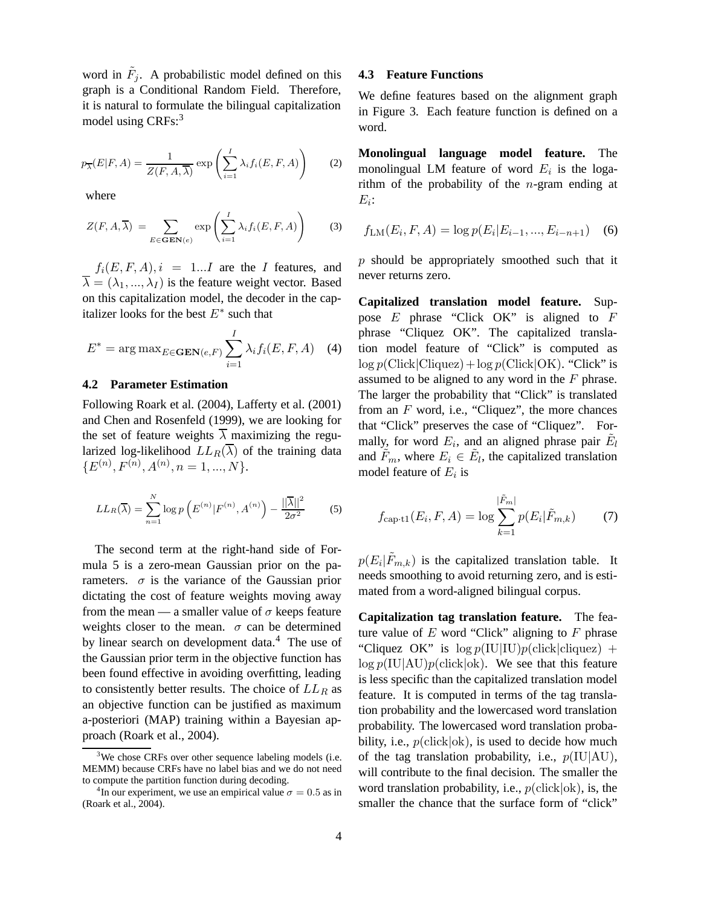word in  $\tilde{F}_j$ . A probabilistic model defined on this graph is a Conditional Random Field. Therefore, it is natural to formulate the bilingual capitalization model using CRFs:<sup>3</sup>

$$
p_{\overline{\lambda}}(E|F,A) = \frac{1}{Z(F,A,\overline{\lambda})} \exp\left(\sum_{i=1}^{I} \lambda_i f_i(E,F,A)\right) \tag{2}
$$

where

$$
Z(F, A, \overline{\lambda}) = \sum_{E \in \mathbf{GEN}(e)} \exp \left( \sum_{i=1}^{I} \lambda_i f_i(E, F, A) \right) \tag{3}
$$

 $f_i(E, F, A), i = 1...I$  are the I features, and  $\overline{\lambda} = (\lambda_1, ..., \lambda_I)$  is the feature weight vector. Based on this capitalization model, the decoder in the capitalizer looks for the best  $E^*$  such that

$$
E^* = \arg \max_{E \in \text{GEN}(e, F)} \sum_{i=1}^{I} \lambda_i f_i(E, F, A) \quad (4)
$$

## **4.2 Parameter Estimation**

Following Roark et al. (2004), Lafferty et al. (2001) and Chen and Rosenfeld (1999), we are looking for the set of feature weights  $\overline{\lambda}$  maximizing the regularized log-likelihood  $LL_R(\overline{\lambda})$  of the training data  ${E^{(n)}, F^{(n)}, A^{(n)}, n = 1, ..., N}.$ 

$$
LL_R(\overline{\lambda}) = \sum_{n=1}^{N} \log p\left(E^{(n)} | F^{(n)}, A^{(n)}\right) - \frac{||\overline{\lambda}||^2}{2\sigma^2}
$$
 (5)

The second term at the right-hand side of Formula 5 is a zero-mean Gaussian prior on the parameters.  $\sigma$  is the variance of the Gaussian prior dictating the cost of feature weights moving away from the mean — a smaller value of  $\sigma$  keeps feature weights closer to the mean.  $\sigma$  can be determined by linear search on development data.<sup>4</sup> The use of the Gaussian prior term in the objective function has been found effective in avoiding overfitting, leading to consistently better results. The choice of  $LL_R$  as an objective function can be justified as maximum a-posteriori (MAP) training within a Bayesian approach (Roark et al., 2004).

#### **4.3 Feature Functions**

We define features based on the alignment graph in Figure 3. Each feature function is defined on a word.

**Monolingual language model feature.** The monolingual LM feature of word  $E_i$  is the logarithm of the probability of the *n*-gram ending at  $E_i$ :

$$
f_{\text{LM}}(E_i, F, A) = \log p(E_i | E_{i-1}, ..., E_{i-n+1}) \quad (6)
$$

 $p$  should be appropriately smoothed such that it never returns zero.

**Capitalized translation model feature.** Suppose  $E$  phrase "Click OK" is aligned to  $F$ phrase "Cliquez OK". The capitalized translation model feature of "Click" is computed as  $\log p$ (Click|Cliquez) +  $\log p$ (Click|OK). "Click" is assumed to be aligned to any word in the F phrase. The larger the probability that "Click" is translated from an  $F$  word, i.e., "Cliquez", the more chances that "Click" preserves the case of "Cliquez". Formally, for word  $E_i$ , and an aligned phrase pair  $\tilde{E}_l$ and  $\tilde{F}_m$ , where  $E_i \in \tilde{E}_l$ , the capitalized translation model feature of  $E_i$  is

$$
f_{\text{cap-t1}}(E_i, F, A) = \log \sum_{k=1}^{|\tilde{F}_m|} p(E_i | \tilde{F}_{m,k}) \tag{7}
$$

 $p(E_i | \tilde{F}_{m,k})$  is the capitalized translation table. It needs smoothing to avoid returning zero, and is estimated from a word-aligned bilingual corpus.

**Capitalization tag translation feature.** The feature value of  $E$  word "Click" aligning to  $F$  phrase "Cliquez OK" is  $\log p(\text{IU}|\text{IU})p(\text{click}|\text{cliquez})$  +  $\log p(\text{IU}| \text{AU})p(\text{click}| \text{ok})$ . We see that this feature is less specific than the capitalized translation model feature. It is computed in terms of the tag translation probability and the lowercased word translation probability. The lowercased word translation probability, i.e.,  $p(\text{click}|\text{ok})$ , is used to decide how much of the tag translation probability, i.e.,  $p(\text{IU}|\text{AU})$ , will contribute to the final decision. The smaller the word translation probability, i.e.,  $p(\text{click}|\text{ok})$ , is, the smaller the chance that the surface form of "click"

 $3$ We chose CRFs over other sequence labeling models (i.e. MEMM) because CRFs have no label bias and we do not need to compute the partition function during decoding.

<sup>&</sup>lt;sup>4</sup>In our experiment, we use an empirical value  $\sigma = 0.5$  as in (Roark et al., 2004).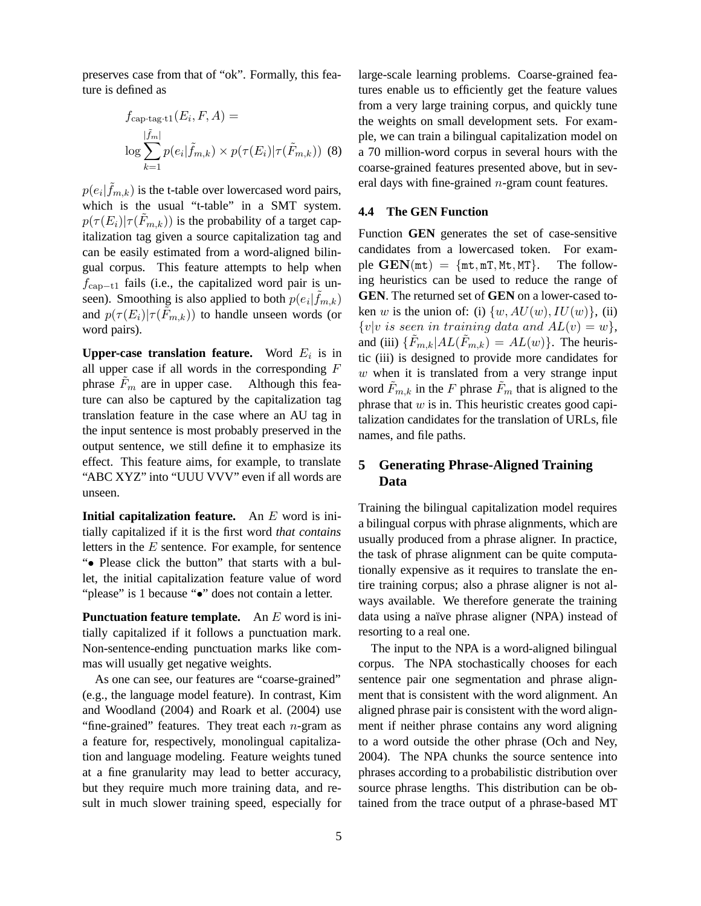preserves case from that of "ok". Formally, this feature is defined as

$$
f_{\text{cap-tag-t1}}(E_i, F, A) =
$$
  

$$
\log \sum_{k=1}^{|\tilde{f}_m|} p(e_i | \tilde{f}_{m,k}) \times p(\tau(E_i) | \tau(\tilde{F}_{m,k}))
$$
 (8)

 $p(e_i|\tilde{f}_{m,k})$  is the t-table over lowercased word pairs, which is the usual "t-table" in a SMT system.  $p(\tau(E_i)|\tau(F_{m,k}))$  is the probability of a target capitalization tag given a source capitalization tag and can be easily estimated from a word-aligned bilingual corpus. This feature attempts to help when  $f_{\text{cap}-t1}$  fails (i.e., the capitalized word pair is unseen). Smoothing is also applied to both  $p(e_i|\tilde{f}_{m,k})$ and  $p(\tau(E_i)|\tau(F_{m,k}))$  to handle unseen words (or word pairs).

**Upper-case translation feature.** Word  $E_i$  is in all upper case if all words in the corresponding  $F$ phrase  $F_m$  are in upper case. Although this feature can also be captured by the capitalization tag translation feature in the case where an AU tag in the input sentence is most probably preserved in the output sentence, we still define it to emphasize its effect. This feature aims, for example, to translate "ABC XYZ" into "UUU VVV" even if all words are unseen.

**Initial capitalization feature.** An E word is initially capitalized if it is the first word *that contains* letters in the  $E$  sentence. For example, for sentence "• Please click the button" that starts with a bullet, the initial capitalization feature value of word "please" is 1 because "•" does not contain a letter.

**Punctuation feature template.** An E word is initially capitalized if it follows a punctuation mark. Non-sentence-ending punctuation marks like commas will usually get negative weights.

As one can see, our features are "coarse-grained" (e.g., the language model feature). In contrast, Kim and Woodland (2004) and Roark et al. (2004) use "fine-grained" features. They treat each  $n$ -gram as a feature for, respectively, monolingual capitalization and language modeling. Feature weights tuned at a fine granularity may lead to better accuracy, but they require much more training data, and result in much slower training speed, especially for large-scale learning problems. Coarse-grained features enable us to efficiently get the feature values from a very large training corpus, and quickly tune the weights on small development sets. For example, we can train a bilingual capitalization model on a 70 million-word corpus in several hours with the coarse-grained features presented above, but in several days with fine-grained n-gram count features.

### **4.4 The GEN Function**

Function **GEN** generates the set of case-sensitive candidates from a lowercased token. For example  $GEN(mt) = {mt, mT, Mt, MT}.$  The following heuristics can be used to reduce the range of **GEN**. The returned set of **GEN** on a lower-cased token w is the union of: (i)  $\{w, AU(w), IU(w)\},$  (ii)  $\{v|v \text{ is seen in training data and } AL(v) = w\},\$ and (iii)  $\{\tilde{F}_{m,k}|AL(\tilde{F}_{m,k})=AL(w)\}\.$  The heuristic (iii) is designed to provide more candidates for  $w$  when it is translated from a very strange input word  $F_{m,k}$  in the F phrase  $F_m$  that is aligned to the phrase that  $w$  is in. This heuristic creates good capitalization candidates for the translation of URLs, file names, and file paths.

# **5 Generating Phrase-Aligned Training Data**

Training the bilingual capitalization model requires a bilingual corpus with phrase alignments, which are usually produced from a phrase aligner. In practice, the task of phrase alignment can be quite computationally expensive as it requires to translate the entire training corpus; also a phrase aligner is not always available. We therefore generate the training data using a naïve phrase aligner (NPA) instead of resorting to a real one.

The input to the NPA is a word-aligned bilingual corpus. The NPA stochastically chooses for each sentence pair one segmentation and phrase alignment that is consistent with the word alignment. An aligned phrase pair is consistent with the word alignment if neither phrase contains any word aligning to a word outside the other phrase (Och and Ney, 2004). The NPA chunks the source sentence into phrases according to a probabilistic distribution over source phrase lengths. This distribution can be obtained from the trace output of a phrase-based MT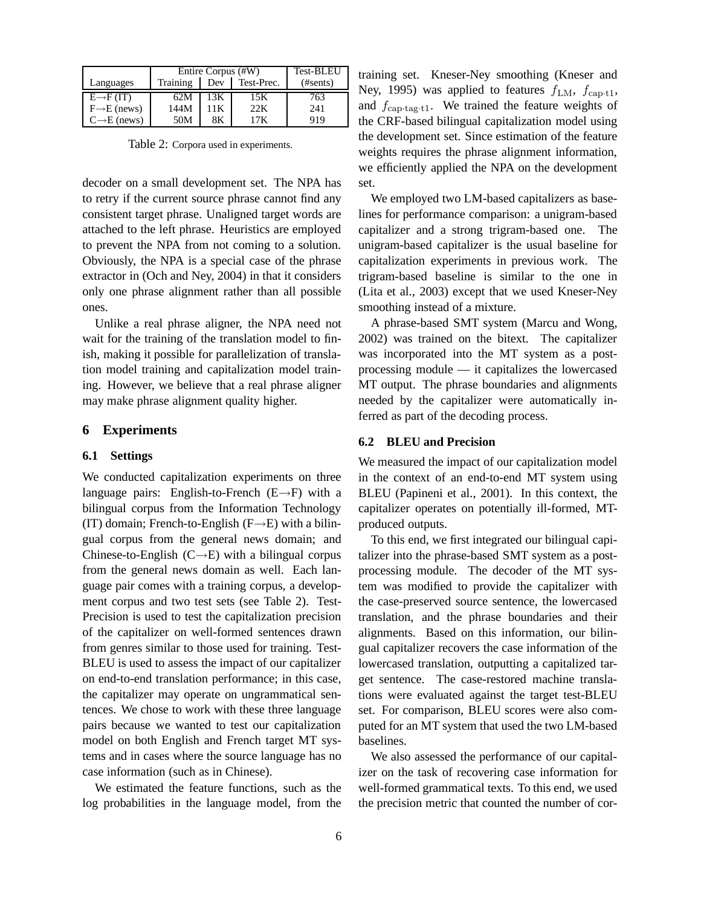|                          | Entire Corpus (#W) |      |            | <b>Test-BLEU</b> |
|--------------------------|--------------------|------|------------|------------------|
| Languages                | Training           | Dev  | Test-Prec. | (Hsents)         |
| $E \rightarrow F(T)$     | 62M                | 13K  | 15K        | 763              |
| $F \rightarrow E$ (news) | 144M               | 11 K | 22K        | 241              |
| $C \rightarrow E$ (news) | 50M                | 8Κ   | 17K        | 919              |

Table 2: Corpora used in experiments.

decoder on a small development set. The NPA has to retry if the current source phrase cannot find any consistent target phrase. Unaligned target words are attached to the left phrase. Heuristics are employed to prevent the NPA from not coming to a solution. Obviously, the NPA is a special case of the phrase extractor in (Och and Ney, 2004) in that it considers only one phrase alignment rather than all possible ones.

Unlike a real phrase aligner, the NPA need not wait for the training of the translation model to finish, making it possible for parallelization of translation model training and capitalization model training. However, we believe that a real phrase aligner may make phrase alignment quality higher.

## **6 Experiments**

#### **6.1 Settings**

We conducted capitalization experiments on three language pairs: English-to-French  $(E \rightarrow F)$  with a bilingual corpus from the Information Technology (IT) domain; French-to-English ( $F\rightarrow E$ ) with a bilingual corpus from the general news domain; and Chinese-to-English  $(C \rightarrow E)$  with a bilingual corpus from the general news domain as well. Each language pair comes with a training corpus, a development corpus and two test sets (see Table 2). Test-Precision is used to test the capitalization precision of the capitalizer on well-formed sentences drawn from genres similar to those used for training. Test-BLEU is used to assess the impact of our capitalizer on end-to-end translation performance; in this case, the capitalizer may operate on ungrammatical sentences. We chose to work with these three language pairs because we wanted to test our capitalization model on both English and French target MT systems and in cases where the source language has no case information (such as in Chinese).

We estimated the feature functions, such as the log probabilities in the language model, from the training set. Kneser-Ney smoothing (Kneser and Ney, 1995) was applied to features  $f_{LM}$ ,  $f_{\text{cap-}t1}$ , and  $f_{\text{cap-tag-t1}}$ . We trained the feature weights of the CRF-based bilingual capitalization model using the development set. Since estimation of the feature weights requires the phrase alignment information, we efficiently applied the NPA on the development set.

We employed two LM-based capitalizers as baselines for performance comparison: a unigram-based capitalizer and a strong trigram-based one. The unigram-based capitalizer is the usual baseline for capitalization experiments in previous work. The trigram-based baseline is similar to the one in (Lita et al., 2003) except that we used Kneser-Ney smoothing instead of a mixture.

A phrase-based SMT system (Marcu and Wong, 2002) was trained on the bitext. The capitalizer was incorporated into the MT system as a postprocessing module — it capitalizes the lowercased MT output. The phrase boundaries and alignments needed by the capitalizer were automatically inferred as part of the decoding process.

#### **6.2 BLEU and Precision**

We measured the impact of our capitalization model in the context of an end-to-end MT system using BLEU (Papineni et al., 2001). In this context, the capitalizer operates on potentially ill-formed, MTproduced outputs.

To this end, we first integrated our bilingual capitalizer into the phrase-based SMT system as a postprocessing module. The decoder of the MT system was modified to provide the capitalizer with the case-preserved source sentence, the lowercased translation, and the phrase boundaries and their alignments. Based on this information, our bilingual capitalizer recovers the case information of the lowercased translation, outputting a capitalized target sentence. The case-restored machine translations were evaluated against the target test-BLEU set. For comparison, BLEU scores were also computed for an MT system that used the two LM-based baselines.

We also assessed the performance of our capitalizer on the task of recovering case information for well-formed grammatical texts. To this end, we used the precision metric that counted the number of cor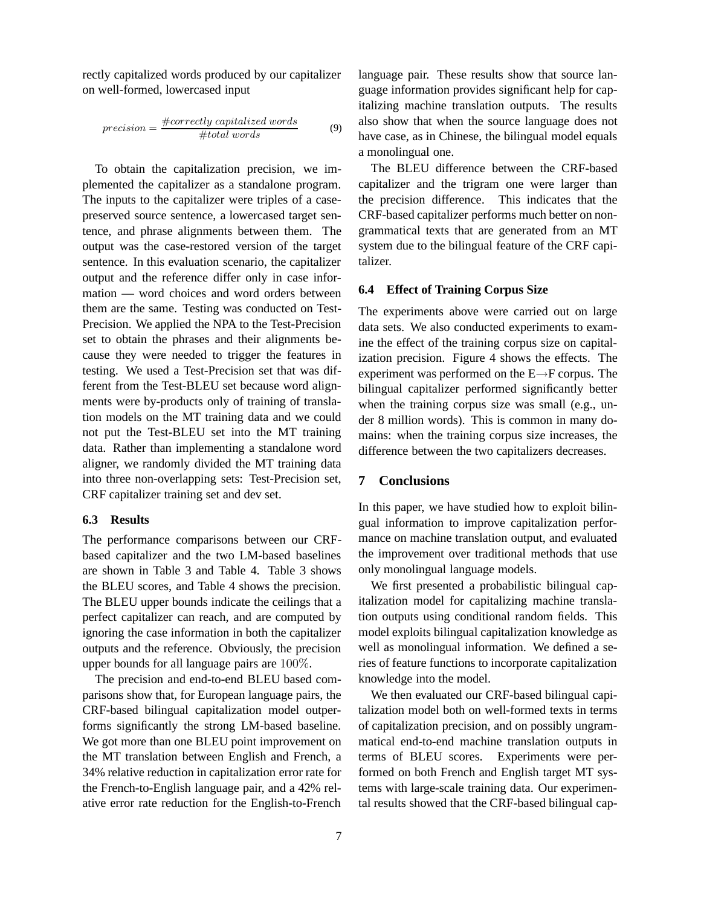rectly capitalized words produced by our capitalizer on well-formed, lowercased input

$$
precision = \frac{\#correctly\;capitalized\; words}{\#total\; words} \tag{9}
$$

To obtain the capitalization precision, we implemented the capitalizer as a standalone program. The inputs to the capitalizer were triples of a casepreserved source sentence, a lowercased target sentence, and phrase alignments between them. The output was the case-restored version of the target sentence. In this evaluation scenario, the capitalizer output and the reference differ only in case information — word choices and word orders between them are the same. Testing was conducted on Test-Precision. We applied the NPA to the Test-Precision set to obtain the phrases and their alignments because they were needed to trigger the features in testing. We used a Test-Precision set that was different from the Test-BLEU set because word alignments were by-products only of training of translation models on the MT training data and we could not put the Test-BLEU set into the MT training data. Rather than implementing a standalone word aligner, we randomly divided the MT training data into three non-overlapping sets: Test-Precision set, CRF capitalizer training set and dev set.

#### **6.3 Results**

The performance comparisons between our CRFbased capitalizer and the two LM-based baselines are shown in Table 3 and Table 4. Table 3 shows the BLEU scores, and Table 4 shows the precision. The BLEU upper bounds indicate the ceilings that a perfect capitalizer can reach, and are computed by ignoring the case information in both the capitalizer outputs and the reference. Obviously, the precision upper bounds for all language pairs are 100%.

The precision and end-to-end BLEU based comparisons show that, for European language pairs, the CRF-based bilingual capitalization model outperforms significantly the strong LM-based baseline. We got more than one BLEU point improvement on the MT translation between English and French, a 34% relative reduction in capitalization error rate for the French-to-English language pair, and a 42% relative error rate reduction for the English-to-French

language pair. These results show that source language information provides significant help for capitalizing machine translation outputs. The results also show that when the source language does not have case, as in Chinese, the bilingual model equals a monolingual one.

The BLEU difference between the CRF-based capitalizer and the trigram one were larger than the precision difference. This indicates that the CRF-based capitalizer performs much better on nongrammatical texts that are generated from an MT system due to the bilingual feature of the CRF capitalizer.

### **6.4 Effect of Training Corpus Size**

The experiments above were carried out on large data sets. We also conducted experiments to examine the effect of the training corpus size on capitalization precision. Figure 4 shows the effects. The experiment was performed on the E→F corpus. The bilingual capitalizer performed significantly better when the training corpus size was small (e.g., under 8 million words). This is common in many domains: when the training corpus size increases, the difference between the two capitalizers decreases.

## **7 Conclusions**

In this paper, we have studied how to exploit bilingual information to improve capitalization performance on machine translation output, and evaluated the improvement over traditional methods that use only monolingual language models.

We first presented a probabilistic bilingual capitalization model for capitalizing machine translation outputs using conditional random fields. This model exploits bilingual capitalization knowledge as well as monolingual information. We defined a series of feature functions to incorporate capitalization knowledge into the model.

We then evaluated our CRF-based bilingual capitalization model both on well-formed texts in terms of capitalization precision, and on possibly ungrammatical end-to-end machine translation outputs in terms of BLEU scores. Experiments were performed on both French and English target MT systems with large-scale training data. Our experimental results showed that the CRF-based bilingual cap-